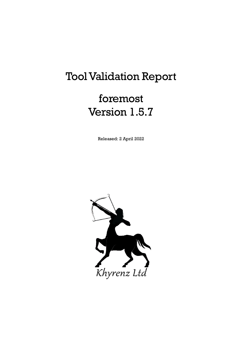# Tool Validation Report

# foremost Version 1.5.7

Released: 2 April 2022

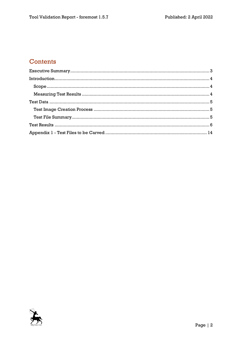## Contents

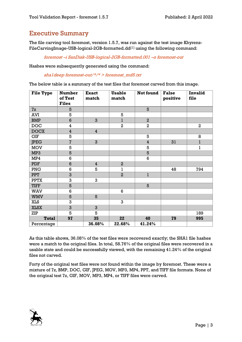### <span id="page-2-0"></span>Executive Summary

The file carving tool foremost, version 1.5.7, was run against the test image Khyrenz-FileCarvingImage-USB-logical-2GB-formatted.dd<sup>[1]</sup> using the following command:

foremost –i SanDisk-USB-logical-2GB-formatted.001 –o foremost-out

Hashes were subsequently generated using the command:

shaldeep foremost-out/ $*\times$  > foremost md5.txt

The below table is a summary of the test files that foremost carved from this image.

| <b>File Type</b> | <b>Number</b><br>of Test<br><b>Files</b> | <b>Exact</b><br>match | <b>Usable</b><br>match  | Not found      | <b>False</b><br>positive | Invalid<br>file |
|------------------|------------------------------------------|-----------------------|-------------------------|----------------|--------------------------|-----------------|
| 7z               | 5                                        |                       |                         | 5              |                          |                 |
| <b>AVI</b>       | 5                                        |                       | 5                       |                |                          |                 |
| <b>BMP</b>       | $6\phantom{1}6$                          | 3                     | $\mathbf{1}$            | $\overline{a}$ |                          |                 |
| <b>DOC</b>       | $\bf{4}$                                 |                       | $\overline{\mathbf{2}}$ | $\overline{2}$ |                          | $\overline{2}$  |
| <b>DOCX</b>      | $\overline{\mathbf{4}}$                  | $\overline{4}$        |                         |                |                          |                 |
| <b>GIF</b>       | 5                                        |                       |                         | 5              |                          | 8               |
| <b>JPEG</b>      | $\overline{\mathcal{I}}$                 | 3                     |                         | $\overline{4}$ | 31                       | l               |
| <b>MOV</b>       | 5                                        |                       |                         | 5              |                          | ı               |
| MP3              | 5                                        |                       |                         | 5              |                          |                 |
| MP4              | 6                                        |                       |                         | 6              |                          |                 |
| PDF              | $6\phantom{1}$                           | $\overline{4}$        | $\overline{a}$          |                |                          |                 |
| PNG              | $6\phantom{a}$                           | 5                     | ı                       |                | 48                       | 794             |
| <b>PPT</b>       | 3                                        |                       | $\overline{a}$          | $\bf{l}$       |                          |                 |
| <b>PPTX</b>      | 3                                        | 3                     |                         |                |                          |                 |
| <b>TIFF</b>      | 5                                        |                       |                         | 5              |                          |                 |
| WAV              | 6                                        |                       | 6                       |                |                          |                 |
| <b>WMV</b>       | 5                                        | 5                     |                         |                |                          |                 |
| <b>XLS</b>       | 3                                        |                       | 3                       |                |                          |                 |
| <b>XLSX</b>      | 3                                        | 3                     |                         |                |                          |                 |
| ZIP              | 5                                        | 5                     |                         |                |                          | 189             |
| <b>Total</b>     | 97                                       | 35                    | 22                      | 40             | 79                       | 995             |
| Percentage       |                                          | 36.08%                | 22.68%                  | 41.24%         |                          |                 |

As this table shows, 36.08% of the test files were recovered exactly; the SHA1 file hashes were a match to the original files. In total, 58.76% of the original files were recovered in a usable state and could be successfully viewed, with the remaining 41.24% of the original files not carved.

Forty of the original test files were not found within the image by foremost. These were a mixture of 7z, BMP, DOC, GIF, JPEG, MOV, MP3, MP4, PPT, and TIFF file formats. None of the original test 7z, GIF, MOV, MP3, MP4, or TIFF files were carved.

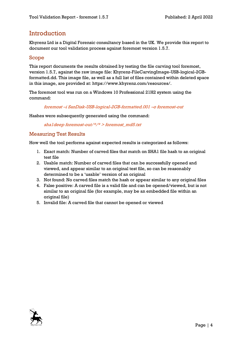## <span id="page-3-0"></span>**Introduction**

Khyrenz Ltd is a Digital Forensic consultancy based in the UK. We provide this report to document our tool validation process against foremost version 1.5.7.

#### <span id="page-3-1"></span>Scope

This report documents the results obtained by testing the file carving tool foremost, version 1.5.7, against the raw image file: Khyrenz-FileCarvingImage-USB-logical-2GBformatted.dd. This image file, as well as a full list of files contained within deleted space in this image, are provided at: https://www.khyrenz.com/resources/.

The foremost tool was run on a Windows 10 Professional 21H2 system using the command:

#### foremost –i SanDisk-USB-logical-2GB-formatted.001 –o foremost-out

Hashes were subsequently generated using the command:

shaldeep foremost-out/ $*\times$  > foremost md5.txt

#### <span id="page-3-2"></span>Measuring Test Results

How well the tool performs against expected results is categorized as follows:

- 1. Exact match: Number of carved files that match on SHA1 file hash to an original test file
- 2. Usable match: Number of carved files that can be successfully opened and viewed, and appear similar to an original test file, so can be reasonably determined to be a 'usable' version of an original
- 3. Not found: No carved files match the hash or appear similar to any original files
- 4. False positive: A carved file is a valid file and can be opened/viewed, but is not similar to an original file (for example, may be an embedded file within an original file)
- 5. Invalid file: A carved file that cannot be opened or viewed

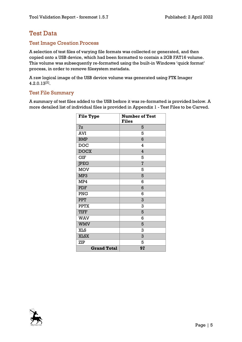## <span id="page-4-0"></span>Test Data

#### <span id="page-4-1"></span>Test Image Creation Process

A selection of test files of varying file formats was collected or generated, and then copied onto a USB device, which had been formatted to contain a 2GB FAT16 volume. This volume was subsequently re-formatted using the built-in Windows 'quick format' process, in order to remove filesystem metadata.

A raw logical image of the USB device volume was generated using FTK Imager 4.2.0.13[2] .

#### <span id="page-4-2"></span>Test File Summary

A summary of test files added to the USB before it was re-formatted is provided below. A more detailed list of individual files is provided in Appendix 1 - [Test Files to be Carved.](#page-13-0)

| <b>File Type</b>   | <b>Number of Test</b><br><b>Files</b> |
|--------------------|---------------------------------------|
| 7z                 | 5                                     |
| <b>AVI</b>         | 5                                     |
| <b>BMP</b>         | 6                                     |
| <b>DOC</b>         | 4                                     |
| <b>DOCX</b>        | 4                                     |
| <b>GIF</b>         | 5                                     |
| <b>JPEG</b>        | $\overline{7}$                        |
| <b>MOV</b>         | 5                                     |
| MP3                | 5                                     |
| MP4                | 6                                     |
| <b>PDF</b>         | 6                                     |
| PNG                | 6                                     |
| <b>PPT</b>         | 3                                     |
| <b>PPTX</b>        | 3                                     |
| <b>TIFF</b>        | 5                                     |
| <b>WAV</b>         | 6                                     |
| <b>WMV</b>         | 5                                     |
| <b>XLS</b>         | 3                                     |
| <b>XLSX</b>        | 3                                     |
| ZIP                | 5                                     |
| <b>Grand Total</b> | 97                                    |

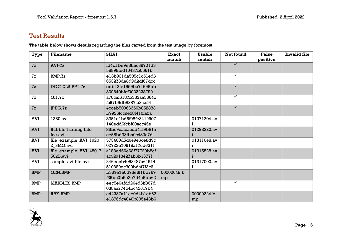## Test Results

The table below shows details regarding the files carved from the test image by foremost.

<span id="page-5-0"></span>

| Type       | <b>Filename</b>            | <b>SHA1</b>           | <b>Exact</b> | <b>Usable</b> | <b>Not found</b> | <b>False</b> | <b>Invalid file</b> |
|------------|----------------------------|-----------------------|--------------|---------------|------------------|--------------|---------------------|
|            |                            |                       | match        | match         |                  | positive     |                     |
| 7z         | $AVI-Zz$                   | fd4dlbe9e8ffec39701d3 |              |               | $\checkmark$     |              |                     |
|            |                            | 58898fed10437b0561b   |              |               |                  |              |                     |
| 7z         | BMP.7z                     | el3b931da505clc5led6  |              |               | $\checkmark$     |              |                     |
|            |                            | 653273de8d9d2df67dcc  |              |               |                  |              |                     |
| 7z         | DOC-XLS-PPT.7z             | edb13fe1559ba71696bb  |              |               | $\checkmark$     |              |                     |
|            |                            | 309840bfcf0022228799  |              |               |                  |              |                     |
| 7z         | CIF.7z                     | a70caf5187b383aa5364c |              |               | $\checkmark$     |              |                     |
|            |                            | fc97b5db8287fa3aa54   |              |               |                  |              |                     |
| 7z         | PEG.7z                     | 4cceb50966356b852883  |              |               | $\checkmark$     |              |                     |
|            |                            | b9925fcc9e58f410fa2a  |              |               |                  |              |                     |
| <b>AVI</b> | 1280.avi                   | 8351e1bd6f08fe3419907 |              | 01271304.av   |                  |              |                     |
|            |                            | 140edd6fcbf00acc46e   |              |               |                  |              |                     |
| <b>AVI</b> | <b>Bubble Turning Into</b> | 85bc9cafcacdd41f9b81a |              | 01293320.av   |                  |              |                     |
|            | Ice.avi                    | ce58bd33fba0c432c7d   |              |               |                  |              |                     |
| AVI        | file_example_AVI_1920_     | 573400d5d649e6ce8d9c  |              | 01311048.av   |                  |              |                     |
|            | 2_3MG.avi                  | 02723e70618a17cd631f  |              |               |                  |              |                     |
| <b>AVI</b> | file_example_AVI_480_7     | a188ed66e68f77729b8cf |              | 01315528.av   |                  |              |                     |
|            | 50kB.avi                   | ac92913427ab6b1677f   |              |               |                  |              |                     |
| <b>AVI</b> | sample-avi-file.avi        | 246eecb4053487a61914  |              | 01317000.av   |                  |              |                     |
|            |                            | 510389ec300bdaf7f3c6  |              |               |                  |              |                     |
| <b>BMP</b> | <b>GRN.BMP</b>             | b367e7e0d95e6f1bd769  | 00000648.b   |               |                  |              |                     |
|            |                            | f39bc0b5e2e7d4a6bb62  | mp           |               |                  |              |                     |
| <b>BMP</b> | <b>MARBLES.BMP</b>         | eec5e6afdd264d6ff867d |              |               | $\checkmark$     |              |                     |
|            |                            | 038aa274c4bc42619b4   |              |               |                  |              |                     |
| <b>BMP</b> | <b>RAY.BMP</b>             | e44237allee0d4blcb63  |              | 00009224.b    |                  |              |                     |
|            |                            | e1876dc4040b805e43b6  |              | mp            |                  |              |                     |

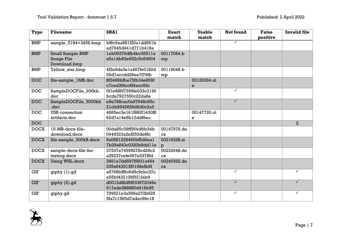| <b>Type</b> | <b>Filename</b>        | <b>SHA1</b>            | <b>Exact</b> | <b>Usable</b> | Not found    | <b>False</b> | <b>Invalid file</b> |
|-------------|------------------------|------------------------|--------------|---------------|--------------|--------------|---------------------|
|             |                        |                        | match        | match         |              | positive     |                     |
| <b>BMP</b>  | sample_5184×3456.bmp   | bf6c6aa681f20aldd56lb  |              |               | $\checkmark$ |              |                     |
|             |                        | ad7945d441d771b418a    |              |               |              |              |                     |
| <b>BMP</b>  | Small Sample BMP       | leb09379dfb4bc35511a   | 00117064.b   |               |              |              |                     |
|             | <b>Image File</b>      | a5a1db83e652c5c64604   | mp           |               |              |              |                     |
|             | Download.bmp           |                        |              |               |              |              |                     |
| <b>BMP</b>  | Yellow_star.bmp        | 4f2e9da3e1a467fe0182d  | 00119048.b   |               |              |              |                     |
|             |                        | 05d7accdd28ee7f76fb    | mp           |               |              |              |                     |
| <b>DOC</b>  | file-sample_1MB.doc    | 8f3498bfbe75fb34e809f  |              | 00120264.ol   |              |              |                     |
|             |                        | c7ced3f4cc6f4acc92c    |              | e             |              |              |                     |
| <b>DOC</b>  | SampleDOCFile_200kb.   | 0fle886f7399fe033c3190 |              |               | $\checkmark$ |              |                     |
|             | doc                    | bcda7927550c22da8e     |              |               |              |              |                     |
| <b>DOC</b>  | SampleDOCFile_5000kb   | e9e798cac0a97648c95c   |              |               | $\checkmark$ |              |                     |
|             | .doc                   | 21cfa9545659d6d0c2a3   |              |               |              |              |                     |
| <b>DOC</b>  | <b>USB</b> connection  | 4665ec3e161f882f1430f8 |              | 00147720.ol   |              |              |                     |
|             | artifacts.doc          | 62d7a14e6b12ddf6ec     |              | e             |              |              |                     |
| <b>DOC</b>  |                        |                        |              |               |              |              | $\overline{a}$      |
| <b>DOCX</b> | 15-MB-docx-file-       | 00da85c39ff564d6fc34b  | 00147976.do  |               |              |              |                     |
|             | download.docx          | 0449323a2ef253de8fc    | <b>CX</b>    |               |              |              |                     |
| <b>DOCX</b> | file-sample_500kB.docx | 9a0881226460bf5d0eal   | 00216328.zi  |               |              |              |                     |
|             |                        | 7b29a843c0320b9ddlle   | p            |               |              |              |                     |
| <b>DOCX</b> | sample-docx-file-for-  | 37537e74599278cd26c2   | 00232648.do  |               |              |              |                     |
|             | testing.docx           | a29237cefe067e237f8d   | <b>CX</b>    |               |              |              |                     |
| <b>DOCX</b> | <b>Using WSL.docx</b>  | 3661e7dd597f5931a494   | 00240392.do  |               |              |              |                     |
|             |                        | 335a643513f0198efb6f   | <b>CX</b>    |               |              |              |                     |
| <b>GIF</b>  | giphy (1).gif          | a6768bff9c6d5c9cbc37c  |              |               | $\checkmark$ |              | $\checkmark$        |
|             |                        | e55bf432109f321fab9    |              |               |              |              |                     |
| <b>GIF</b>  | giphy (2).gif          | d0012d8bf6f633972049e  |              |               | $\checkmark$ |              | $\checkmark$        |
|             |                        | 917ede588880d416b95    |              |               |              |              |                     |
| <b>GIF</b>  | giphy.gif              | 799521e3a568a270b625   |              |               | $\checkmark$ |              | ✓                   |
|             |                        | 9fa7c1565d7adec96c18   |              |               |              |              |                     |

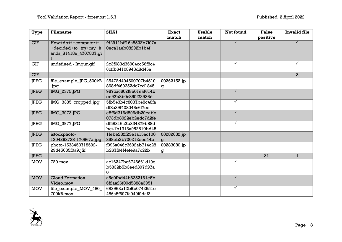| <b>Type</b>             | <b>Filename</b>        | <b>SHA1</b>            | <b>Exact</b> | <b>Usable</b> | Not found    | <b>False</b> | <b>Invalid file</b> |
|-------------------------|------------------------|------------------------|--------------|---------------|--------------|--------------|---------------------|
|                         |                        |                        | match        | match         |              | positive     |                     |
| $\overline{\text{GIF}}$ | How+do+i+computer+i    | fd2911bff16a8522b7f07a |              |               | $\checkmark$ |              |                     |
|                         | +decided+to+try+my+h   | 0ecalaeb08292blb4f     |              |               |              |              |                     |
|                         | ands_81418e_4707807.gi |                        |              |               |              |              |                     |
|                         |                        |                        |              |               |              |              |                     |
| <b>GIF</b>              | undefined - Imgur.gif  | 2c3f083d36904cc56f8c4  |              |               | $\checkmark$ |              |                     |
|                         |                        | 6cffb64108943d8d45a    |              |               |              |              |                     |
| <b>GIF</b>              |                        |                        |              |               |              |              | $\mathbf{3}$        |
| <b>JPEG</b>             | file_example_JPG_500kB | 25472d494500707b4510   | 00262152.jp  |               |              |              |                     |
|                         | .jpg                   | 868df469352dc7cd1845   | g            |               |              |              |                     |
| <b>JPEG</b>             | IMG_2375.JPG           | 967cac602f8e0leaf614b  |              |               | $\checkmark$ |              |                     |
|                         |                        | ee93b8b0c850f22936d    |              |               |              |              |                     |
| <b>IPEG</b>             | IMG_3385_cropped.jpg   | 5fb543b4c8037b48c48fa  |              |               | $\checkmark$ |              |                     |
|                         |                        | df8a39f408046c6f7ee    |              |               |              |              |                     |
| <b>IPEG</b>             | IMG_3973.JPG           | e5f6d316d896db29eabb   |              |               | $\checkmark$ |              |                     |
|                         |                        | 073db8022eb2edc7d2fe   |              |               |              |              |                     |
| <b>JPEG</b>             | IMG_3977.JPG           | df58316a3b334379b88d   |              |               | $\checkmark$ |              |                     |
|                         |                        | bc41b1313a952810bd45   |              |               |              |              |                     |
| <b>IPEG</b>             | istockphoto-           | lfebe282f23elal5acl00  | 00282632.jp  |               |              |              |                     |
|                         | 1304263738-170667a.jpg | 358eb2b700212eee44b    | g            |               |              |              |                     |
| <b>JPEG</b>             | photo-1533450718592-   | f096a046c3692ab714c28  | 00283080.jp  |               |              |              |                     |
|                         | 29d45635f0a9.jfif      | b267f94f4efe9a7c22b    | g            |               |              |              |                     |
| <b>IPEG</b>             |                        |                        |              |               |              | 31           | $\mathbf{1}$        |
| <b>MOV</b>              | 720.mov                | ac16247bc6746661d19e   |              |               | $\checkmark$ |              |                     |
|                         |                        | b5832b5b3eed397d97a    |              |               |              |              |                     |
|                         |                        | 0                      |              |               |              |              |                     |
| <b>MOV</b>              | <b>Cloud Formation</b> | a5c0fbd44b6352161e5b   |              |               | $\checkmark$ |              |                     |
|                         | Video.mov              | 6f2aa26f00d5888a3951   |              |               |              |              |                     |
| <b>MOV</b>              | file_example_MOV_480_  | 682963a12b9b0742651e   |              |               | $\checkmark$ |              |                     |
|                         | 700kB.mov              | 486a5f697fa949f9daf2   |              |               |              |              |                     |

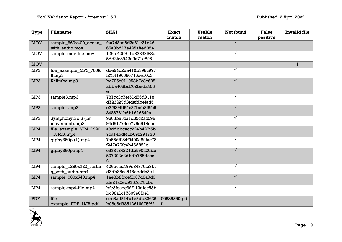| Type       | <b>Filename</b>        | <b>SHA1</b>            | <b>Exact</b><br>match | <b>Usable</b><br>match | Not found               | <b>False</b><br>positive | <b>Invalid file</b> |
|------------|------------------------|------------------------|-----------------------|------------------------|-------------------------|--------------------------|---------------------|
| <b>MOV</b> | sample_960x400_ocean_  | faa748ae6d2a31e21e4d   |                       |                        | $\checkmark$            |                          |                     |
|            | with audio.mov         | 65a0bd17e425affed954   |                       |                        |                         |                          |                     |
| <b>MOV</b> | sample-mov-file.mov    | 126fc405911d33832f88d  |                       |                        | $\checkmark$            |                          |                     |
|            |                        | 5dd2fc3942e9a71e896    |                       |                        |                         |                          |                     |
| <b>MOV</b> |                        |                        |                       |                        |                         |                          | $\mathbf{1}$        |
| MP3        | file_example_MP3_700K  | dae94d2ae419b398c977   |                       |                        | $\checkmark$            |                          |                     |
|            | B.mp3                  | f27f4190680715ae10c3   |                       |                        |                         |                          |                     |
| MP3        | Kalimba.mp3            | ba795c011958b7c8c628   |                       |                        | $\checkmark$            |                          |                     |
|            |                        | abba468bd762beda403    |                       |                        |                         |                          |                     |
|            |                        | e                      |                       |                        |                         |                          |                     |
| MP3        | sample3.mp3            | 787cc2c7ef51d56d9118   |                       |                        | $\checkmark$            |                          |                     |
|            |                        | d723229d8fdafdbefad5   |                       |                        |                         |                          |                     |
| MP3        | sample4.mp3            | e3f539fd64c27bcb8f6fc6 |                       |                        | $\overline{\checkmark}$ |                          |                     |
|            |                        | 8486761b6b1d16549a     |                       |                        |                         |                          |                     |
| MP3        | Symphony No.6 (1st     | 9663ba6cald35c2ac59e   |                       |                        | $\checkmark$            |                          |                     |
|            | movement).mp3          | 94d51775ce775e518dac   |                       |                        |                         |                          |                     |
| MP4        | file_example_MP4_1920  | a8ddbbcacc224b427f5b   |                       |                        | $\checkmark$            |                          |                     |
|            | 18MG.mp4               | 7cal4bdf4lb692291730   |                       |                        |                         |                          |                     |
| MP4        | qiphy360p(1).mp4       | 7a65df084f0400e89fac78 |                       |                        | $\checkmark$            |                          |                     |
|            |                        | f247a76fc4b45d851c     |                       |                        |                         |                          |                     |
| MP4        | giphy360p.mp4          | c578124221db590a00bb   |                       |                        | $\checkmark$            |                          |                     |
|            |                        | 507202e2dbdb765dccc    |                       |                        |                         |                          |                     |
|            |                        | $\overline{a}$         |                       |                        |                         |                          |                     |
| MP4        | sample_1280x720_surfin | 406ecad499e84370fa8bf  |                       |                        | $\checkmark$            |                          |                     |
|            | g_with_audio.mp4       | d3db88aa548eeddc3el    |                       |                        |                         |                          |                     |
| MP4        | sample_960x540.mp4     | lae8b2fcce5b37d8a0d6   |                       |                        | $\checkmark$            |                          |                     |
|            |                        | afe21a0ed9757cf78cbc   |                       |                        |                         |                          |                     |
| MP4        | sample-mp4-file.mp4    | bfe8feaec39f112dfcc53b |                       |                        | $\checkmark$            |                          |                     |
|            |                        | bc98alc17309e0f941     |                       |                        |                         |                          |                     |
| <b>PDF</b> | file-                  | cec8ad914ble9db83626   | 00636360.pd           |                        |                         |                          |                     |
|            | example_PDF_1MB.pdf    | b98e8d98512616975fdf   | f                     |                        |                         |                          |                     |

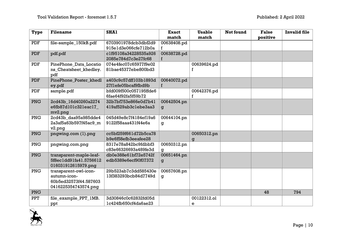| <b>Type</b> | <b>Filename</b>         | <b>SHA1</b>            | <b>Exact</b> | <b>Usable</b> | Not found | <b>False</b> | <b>Invalid file</b> |
|-------------|-------------------------|------------------------|--------------|---------------|-----------|--------------|---------------------|
|             |                         |                        | match        | match         |           | positive     |                     |
| <b>PDF</b>  | file-sample_150kB.pdf   | 6703901978dcb3dbf2d9   | 00638408.pd  |               |           |              |                     |
|             |                         | 915e1d3e066cfe712b0a   | f            |               |           |              |                     |
| <b>PDF</b>  | pdf.pdf                 | c1f95108a34228535a926  | 00638728.pd  |               |           |              |                     |
|             |                         | 2085e784d7c3e27fc68    | f            |               |           |              |                     |
| PDF         | PinePhone_Data_Locatio  | 074e4fec07c65977f9e02  |              | 00639624.pd   |           |              |                     |
|             | ns_Cheatsheet_khedley.  | 81bae45377ebe800bd3    |              | f             |           |              |                     |
|             | pdf                     |                        |              |               |           |              |                     |
| <b>PDF</b>  | PinePhone Poster khedl  | a403c9c57dff103b1893d  | 00640072.pd  |               |           |              |                     |
|             | ey.pdf                  | 27f1efe05bcaf9fbd9b    | f            |               |           |              |                     |
| PDF         | sample.pdf              | bfd009f500c057195ffde6 |              | 00642376.pd   |           |              |                     |
|             |                         | 6fae64f92fa5f59b72     |              | f             |           |              |                     |
| <b>PNG</b>  | 2cd43b_16d40260a2274    | 32b7bf753e866e0d7b41   | 00642504.pn  |               |           |              |                     |
|             | e6fb87d101c321eac17     | 419af529ab3clebe3aa3   | g            |               |           |              |                     |
|             | mv2.png                 |                        |              |               |           |              |                     |
| <b>PNG</b>  | 2cd43b daa95a985dde4    | 045d49e8c7f4184ef19a6  | 00644104.pn  |               |           |              |                     |
|             | 2a3af5a63b597f45ac9_m   | 9122f58aaa431f44e6a    | g            |               |           |              |                     |
|             | v2.pnq                  |                        |              |               |           |              |                     |
| <b>PNG</b>  | pngwing.com (1).png     | cc5bf259f661d72b5ca78  |              | 00650312.pn   |           |              |                     |
|             |                         | b9e6f58efb3eeafee28    |              | q             |           |              |                     |
| <b>PNG</b>  | pngwing.com.png         | 8317e78a842bc9fdbbf3   | 00650312.pn  |               |           |              |                     |
|             |                         | c83e66326693a489fe3d   | g            |               |           |              |                     |
| <b>PNG</b>  | transparent-maple-leaf- | db0e388e61bf72e5742f   | 00651464.pn  |               |           |              |                     |
|             | 5f8ec1dd91fa41.5756612  | edb5389e6ecf90f07372   | g            |               |           |              |                     |
|             | 016031912615979.png     |                        |              |               |           |              |                     |
| PNG         | transparent-owl-icon-   | 29b523ab7c3dd585430e   | 00657608.pn  |               |           |              |                     |
|             | autumn-icon-            | 13f383293bcb84d7749d   | g            |               |           |              |                     |
|             | 60b5ed32573f44.587603   |                        |              |               |           |              |                     |
|             | 0416225354743574.png    |                        |              |               |           |              |                     |
| <b>PNG</b>  |                         |                        |              |               |           | 48           | 794                 |
| <b>PPT</b>  | file_example_PPT_1MB.   | 3d30846c0c62832fd05d   |              | 00122312.ol   |           |              |                     |
|             | ppt                     | lc424fb650cf4da6ae23   |              | e             |           |              |                     |

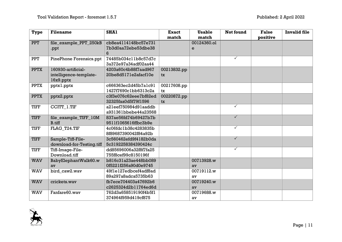| <b>Type</b> | <b>Filename</b>           | <b>SHA1</b>           | <b>Exact</b> | <b>Usable</b> | <b>Not found</b> | <b>False</b> | <b>Invalid file</b> |
|-------------|---------------------------|-----------------------|--------------|---------------|------------------|--------------|---------------------|
|             |                           |                       | match        | match         |                  | positive     |                     |
| <b>PPT</b>  | file_example_PPT_250kB    | cb8ea4114148bc57e731  |              | 00124360.ol   |                  |              |                     |
|             | .ppt                      | 7b3d0aa72ebe53dbe38   |              | e             |                  |              |                     |
|             |                           | 6                     |              |               |                  |              |                     |
| <b>PPT</b>  | PinePhone Forensics.ppt   | 74485b034cllb8c57d7c  |              |               | $\checkmark$     |              |                     |
|             |                           | 3a372e97a34adf02aa44  |              |               |                  |              |                     |
| <b>PPTX</b> | 160930-artificial-        | 4203a60c4b88f7aad967  | 00213832.pp  |               |                  |              |                     |
|             | intelligence-template-    | 20be8d5171e2afacf10e  | tx           |               |                  |              |                     |
|             | $16x9.$ pptx              |                       |              |               |                  |              |                     |
| <b>PPTX</b> | pptxl.pptx                | c666363ec2d45b7alc91  | 00217608.pp  |               |                  |              |                     |
|             |                           | 1427f7690c1bb6313c2a  | tx           |               |                  |              |                     |
| <b>PPTX</b> | pptx2.pptx                | c3f3e076c62eee7bf82ed | 00220872.pp  |               |                  |              |                     |
|             |                           | 32325faa0d5f79f1596   | tx           |               |                  |              |                     |
| <b>TIFF</b> | CCITT_1.TIF               | a2leef750984d9laaddb  |              |               | $\checkmark$     |              |                     |
|             |                           | a931361bbebe44a23568  |              |               |                  |              |                     |
| <b>TIFF</b> | file_example_TIFF_10M     | 837ae56fd74b69427b7b  |              |               | $\checkmark$     |              |                     |
|             | <b>B.tiff</b>             | 9511f1065616ffbc3b9e  |              |               |                  |              |                     |
| <b>TIFF</b> | FLAG T24.TIF              | 4c06fdc1b38c4283835b  |              |               | $\checkmark$     |              |                     |
|             |                           | 8f89687390042f84a92b  |              |               |                  |              |                     |
| <b>TIFF</b> | Sample-Tiff-File-         | 3c560462efd9f4182b0da |              |               | $\checkmark$     |              |                     |
|             | download-for-Testing.tiff | 5c3192258384390424c   |              |               |                  |              |                     |
| <b>TIFF</b> | Tiff-Image-File-          | dd85696006a32f8f7fa25 |              |               | $\checkmark$     |              |                     |
|             | Download.tiff             | 755f8cef99c8150196f   |              |               |                  |              |                     |
| <b>WAV</b>  | BabyElephantWalk60.w      | b816c31a23ae448bb089  |              | 00713928.w    |                  |              |                     |
|             | av                        | 0f5221f256a90d0e9745  |              | av            |                  |              |                     |
| <b>WAV</b>  | bird_caw2.wav             | 49f1e127edbcef4adf8ad |              | 00719112.w    |                  |              |                     |
|             |                           | 89a297a8adca5735b63   |              | av            |                  |              |                     |
| <b>WAV</b>  | crickets.wav              | fb7ece704403a47692b6  |              | 00719240.w    |                  |              |                     |
|             |                           | c2625324d2b11764ed6d  |              | av            |                  |              |                     |
| <b>WAV</b>  | Fanfare60.wav             | 762d3a658519190f4b5f1 |              | 00719688.w    |                  |              |                     |
|             |                           | 374964f959d419cf875   |              | av            |                  |              |                     |

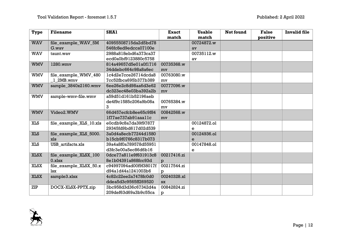| <b>Type</b> | <b>Filename</b>         | <b>SHA1</b>            | <b>Exact</b> | <b>Usable</b> | Not found | <b>False</b> | <b>Invalid file</b> |
|-------------|-------------------------|------------------------|--------------|---------------|-----------|--------------|---------------------|
|             |                         |                        | match        | match         |           | positive     |                     |
| <b>WAV</b>  | file_example_WAV_5M     | 40955508715da2d5bd78   |              | 00724872.w    |           |              |                     |
|             | G.wav                   | 546fc8ed9edcca07100e   |              | av            |           |              |                     |
| <b>WAV</b>  | taunt.way               | 2988a818ebd6a373ca37   |              | 00735112.w    |           |              |                     |
|             |                         | ecd0a0bf9123880c5758   |              | av            |           |              |                     |
| <b>WMV</b>  | 1280.wmv                | 814a49657d5e01a0f1716  | 00735368.w   |               |           |              |                     |
|             |                         | 34ddebc664c98a8a6ec    | my           |               |           |              |                     |
| <b>WMV</b>  | file_example_WMV_480    | lc4d2e7cce26714dcda8   | 00763080.w   |               |           |              |                     |
|             | 1 2MB.wmv               | 7cc52fbca695b377b389   | mv           |               |           |              |                     |
| <b>WMV</b>  | sample_3840x2160.wmv    | 6ee26e2c8d98aa6d3e62   | 00777096.w   |               |           |              |                     |
|             |                         | dc323ec48e03ba392a2b   | mv           |               |           |              |                     |
| <b>WMV</b>  | sample-wmv-file.wmv     | a59d51d161b52196aeb    |              |               |           |              |                     |
|             |                         | de4f9c1585c206a9b08a   | 00765384.w   |               |           |              |                     |
|             |                         | 3                      | mv           |               |           |              |                     |
| <b>WMV</b>  | Video2.WMV              | 66d457ecfcb8ee65c9f84  | 00842568.w   |               |           |              |                     |
|             |                         | lf77ae737ab9laaallc    | mv           |               |           |              |                     |
| <b>XLS</b>  | file example XLS 10.xls | e0cdb9c8a7da39f97877   |              | 00124872.ol   |           |              |                     |
|             |                         | 29345fd9bd617d02d539   |              | e             |           |              |                     |
| <b>XLS</b>  | file_example_XLS_5000.  | 3a0d4a8ecb77244d1580   |              | 00124936.ol   |           |              |                     |
|             | xls                     | b15cb9f0766c8317b073   |              | e             |           |              |                     |
| <b>XLS</b>  | USB artifacts.xls       | 39a4a8f0a789578d55951  |              | 00147848.ol   |           |              |                     |
|             |                         | d3fc3e00a5ec86d6b16    |              | e             |           |              |                     |
| <b>XLSX</b> | file_example_XLSX_100   | 0dce77a811e9f631913c8  | 00217416.zi  |               |           |              |                     |
|             | $0.x$ lsx               | 8elb0439la868fcc93d    | р            |               |           |              |                     |
| <b>XLSX</b> | file_example_XLSX_50.x  | c94997094ad00f9f38017f | 00217544.zi  |               |           |              |                     |
|             | lsx                     | d94a1d44a1241003b6     | р            |               |           |              |                     |
| <b>XLSX</b> | sample3.xlsx            | 4c82c22ee2a7478fc0d0   | 00240328.xl  |               |           |              |                     |
|             |                         | ddea5d3c9565ff269520   | $S_{\rm X}$  |               |           |              |                     |
| ZIP         | DOCX-XLSX-PPTX.zip      | 3bc958d3d36c67342d4a   | 00842824.zi  |               |           |              |                     |
|             |                         | 209def63d69a3b9c55ca   | р            |               |           |              |                     |

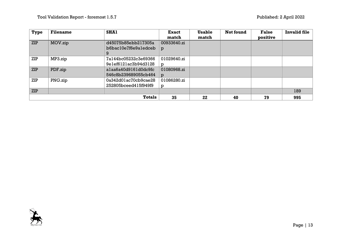| <b>Type</b> | <b>Filename</b> | <b>SHA1</b>                                       | <b>Exact</b><br>match | <b>Usable</b><br>match | <b>Not found</b> | <b>False</b><br>positive | <b>Invalid file</b> |
|-------------|-----------------|---------------------------------------------------|-----------------------|------------------------|------------------|--------------------------|---------------------|
| <b>ZIP</b>  | MOV.zip         | d45075b85ebb217305a<br>b6bac10e7f6e9aledceb       | 00933640.zi<br>p      |                        |                  |                          |                     |
| ZIP         | MP3.zip         | 9<br>7a144bc05232c3e69366<br>9elef6121ac3b94d3128 | 01029640.zi<br>D      |                        |                  |                          |                     |
| <b>ZIP</b>  | PDF.zip         | alaa6a40d9161d0dc9fc<br>546c8b239689055cb464      | 01080968.zi<br>D      |                        |                  |                          |                     |
| ZIP         | PNG.zip         | 0a342d01ac70cb9cae28<br>252805bceed415f949f9      | 01086280.zi<br>p      |                        |                  |                          |                     |
| <b>ZIP</b>  |                 |                                                   |                       |                        |                  |                          | 189                 |
|             |                 | <b>Totals</b>                                     | 35                    | 22                     | 40               | 79                       | 995                 |

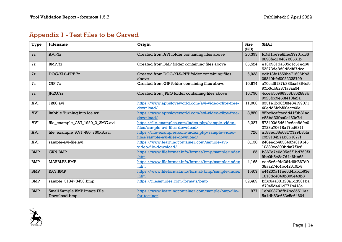## Appendix 1 - Test Files to be Carved

| Type       | <b>Filename</b>                 | Origin                                              | <b>Size</b><br>(KB) | SHA1                    |
|------------|---------------------------------|-----------------------------------------------------|---------------------|-------------------------|
| 7z         | $AVI-Zz$                        | Created from AVI folder containing files above      | 20,393              | fd4dlbe9e8ffec39701d35  |
|            |                                 |                                                     |                     | 8898fed10437b0561b      |
| 7z         | BMP.7z                          | Created from BMP folder containing files above      | 35,524              | el3b931da505clc5led66   |
|            |                                 |                                                     |                     | 53273de8d9d2df67dcc     |
| 7z         | DOC-XLS-PPT.7z                  | Created from DOC-XLS-PPT folder containing files    | 6,933               | edb13fe1559ba71696bb3   |
|            |                                 | above                                               |                     | 09840bfcf0022228799     |
| 7z         | GIF.7z                          | Created from GIF folder containing files above      | 10,674              | a70caf5187b383aa5364cfc |
|            |                                 |                                                     |                     | 97b5db8287fa3aa54       |
| 7z         | JPEG.7z                         | Created from JPEG folder containing files above     | 10,790              | 4cceb50966356b852883b   |
|            |                                 |                                                     |                     | 9925fcc9e58f410fa2a     |
| <b>AVI</b> | 1280.avi                        | https://www.appsloveworld.com/avi-video-clips-free- | 11,006              | 8351e1bd6f08fe34199071  |
|            |                                 | download/                                           |                     | 40edd6fcbf00acc46e      |
| <b>AVI</b> | Bubble Turning Into Ice.avi     | https://www.appsloveworld.com/avi-video-clips-free- | 8,850               | 85bc9cafcacdd41f9b81ac  |
|            |                                 | download/                                           |                     | e58bd33fba0c432c7d      |
| <b>AVI</b> | file_example_AVI_1920_2_3MG.avi | https://file-examples.com/index.php/sample-video-   | 2,227               | 573400d5d649e6ce8d9c0   |
|            |                                 | files/sample-avi-files-download/                    |                     | 2723e70618a17cd631f     |
| <b>AVI</b> | file_example_AVI_480_750kB.avi  | https://file-examples.com/index.php/sample-video-   | 726                 | a188ed66e68f77729b8cfa  |
|            |                                 | files/sample-avi-files-download/                    |                     | c92913427ab6b1677f      |
| AVI        | sample-avi-file.avi             | https://www.learningcontainer.com/sample-avi-       | 8,130               | 246eecb4053487a619145   |
|            |                                 | video-file-download/                                |                     | 10389ec300bdaf7f3c6     |
| <b>BMP</b> | <b>GRN.BMP</b>                  | https://www.fileformat.info/format/bmp/sample/index | 85                  | b367e7e0d95e6f1bd769f3  |
|            |                                 | .htm                                                |                     | 9bc0b5e2e7d4a6bb62      |
| <b>BMP</b> | MARBLES.BMP                     | https://www.fileformat.info/format/bmp/sample/index | 4,165               | eec5e6afdd264d6ff867d0  |
|            |                                 | .htm                                                |                     | 38aa274c4bc42619b4      |
| <b>BMP</b> | RAY.BMP                         | https://www.fileformat.info/format/bmp/sample/index | 1,407               | e44237allee0d4blcb63e   |
|            |                                 | .htm                                                |                     | 1876dc4040b805e43b6     |
| <b>BMP</b> | sample_5184×3456.bmp            | https://filesamples.com/formats/bmp                 | 52,489              | bf6c6aa681f20aldd561ba  |
|            |                                 |                                                     |                     | d7945d441d771b418a      |
| <b>BMP</b> | Small Sample BMP Image File     | https://www.learningcontainer.com/sample-bmp-file-  | 977                 | leb09379dfb4bc3551laa   |
|            | Download.bmp                    | for-testing/                                        |                     | 5aldb83e652c5c64604     |

<span id="page-13-0"></span>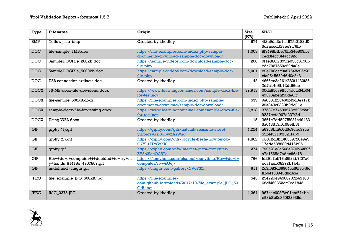| Type        | <b>Filename</b>                                                    | Origin                                                                                 | <b>Size</b><br>(KB) | <b>SHA1</b>                                  |
|-------------|--------------------------------------------------------------------|----------------------------------------------------------------------------------------|---------------------|----------------------------------------------|
| <b>BMP</b>  | Yellow_star.bmp                                                    | Created by khedley                                                                     | 574                 | 4f2e9da3e1a467fe0182d0<br>5d7accdd28ee7f76fb |
| <b>DOC</b>  | file-sample_1MB.doc                                                | https://file-examples.com/index.php/sample-<br>documents-download/sample-doc-download/ | 1,003               | 8f3498bfbe75fb34e809fc7<br>ced3f4cc6f4acc92c |
| <b>DOC</b>  | SampleDOCFile_200kb.doc                                            | https://sample-videos.com/download-sample-doc-<br>file.php                             | 200                 | 0fle886f7399fe033c3190b<br>cda7927550c22da8e |
| <b>DOC</b>  | SampleDOCFile_5000kb.doc                                           | https://sample-videos.com/download-sample-doc-<br>file.php                             | 5,001               | e9e798cac0a97648c95c21<br>cfa9545659d6d0c2a3 |
| <b>DOC</b>  | USB connection artifacts.doc                                       | Created by khedley                                                                     | 42                  | 4665ec3e161f882f1430f86<br>2d7al4e6bl2ddf6ec |
| <b>DOCX</b> | 15-MB-docx-file-download.docx                                      | https://www.learningcontainer.com/sample-docx-file-<br>for-testing/                    | 32,913              | 00da85c39ff564d6fc34b04<br>49323a2ef253de8fc |
| <b>DOCX</b> | file-sample_500kB.docx                                             | https://file-examples.com/index.php/sample-<br>documents-download/sample-doc-download/ | 539                 | 9a0881226460bf5d0ea17b<br>29a843c0320b9ddlle |
| <b>DOCX</b> | sample-docx-file-for-testing.docx                                  | https://www.learningcontainer.com/sample-docx-file-<br>for-testing/                    | 3,818               | 37537e74599278cd26c2a2<br>9237cefe067e237f8d |
| <b>DOCX</b> | Using WSL.docx                                                     | Created by khedley                                                                     | 15                  | 3661e7dd597f5931a49433<br>5a643513f0198efb6f |
| <b>GIF</b>  | giphy (1).gif                                                      | https://qiphy.com/qifs/hatutah-seasame-street-<br>yippers-GsiBqbwZAsWsq                | 4,224               | a6768bff9c6d5c9cbc37ce<br>55bf432109f321fab9 |
| <b>GIF</b>  | giphy (2).gif                                                      | https://qiphy.com/qifs/bicycle-besta-howtomob-<br>O7YL1FFrCxXi0                        | 4,862               | d0012d8bf6f633972049e9<br>17ede588880d416b95 |
| <b>GIF</b>  | giphy.gif                                                          | https://giphy.com/gifs/internet-pizza-computer-<br>ZH5o2lacOA8Te                       | 274                 | 799521e3a568a270b6259f<br>a7c1565d7adec96c18 |
| <b>GIF</b>  | How+do+i+computer+i+decided+to+try+m<br>y+hands_81418e_4707807.gif | https://funnyjunk.com/channel/ponytime/How+do+I+<br>computer/rwwsGej/                  | 766                 | fd2911bff16a8522b7f07a0<br>ecalaeb08292blb4f |
| <b>GIF</b>  | undefined - Imgur.gif                                              | https://imqur.com/gallery/NVoF3Zi                                                      | 611                 | 2c3f083d36904cc56f8c46c<br>ffb64108943d8d45a |
| <b>JPEG</b> | file_example_JPG_500kB.jpg                                         | https://file-examples-<br>com.qithub.io/uploads/2017/10/file example JPG 50<br>0kB.jpg | 543                 | 25472d494500707b45108<br>68df469352dc7cd1845 |
| <b>JPEG</b> | IMG_2375.JPG                                                       | Created by khedley                                                                     | 4,264               | 967cac602f8e0leaf614be<br>e93b8b0c850f22936d |

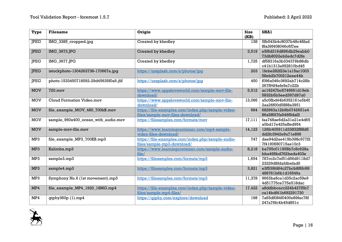| Type        | <b>Filename</b>                       | Origin                                                                                | <b>Size</b><br>(KB) | SHA1                                         |
|-------------|---------------------------------------|---------------------------------------------------------------------------------------|---------------------|----------------------------------------------|
| <b>JPEG</b> | IMG_3385_cropped.jpg                  | Created by khedley                                                                    | 138                 | 5fb543b4c8037b48c48fad<br>f8a39f408046c6f7ee |
| <b>JPEG</b> | IMG_3973.JPG                          | Created by khedley                                                                    | 3,519               | e5f6d316d896db29eabb0<br>73db8022eb2edc7d2fe |
| <b>IPEG</b> | <b>IMG 3977.JPG</b>                   | Created by khedley                                                                    | 1,725               | df58316a3b334379b88db<br>c41b1313a952810bd45 |
| <b>JPEG</b> | istockphoto-1304263738-170667a.jpg    | https://unsplash.com/s/photos/jpq                                                     | 203                 | lfebe282f23elal5ac1003<br>58eb2b700212eee44b |
| <b>JPEG</b> | photo-1533450718592-29d45635f0a9.jfif | https://unsplash.com/s/photos/jpq                                                     | 450                 | f096a046c3692ab714c28b<br>267f94f4efe9a7c22b |
| <b>MOV</b>  | 720.mov                               | https://www.appsloveworld.com/sample-mov-file-<br>download/                           | 5,512               | ac16247bc6746661d19eb<br>5832b5b3eed397d97a0 |
| <b>MOV</b>  | Cloud Formation Video.mov             | https://www.appsloveworld.com/sample-mov-file-<br>download/                           | 13,066              | a5c0fbd44b6352161e5b6f<br>2aa26f00d5888a3951 |
| <b>MOV</b>  | file_example_MOV_480_700kB.mov        | https://file-examples.com/index.php/sample-video-<br>files/sample-mov-files-download/ | 694                 | 682963a12b9b0742651e4<br>86a5f697fa949f9daf2 |
| <b>MOV</b>  | sample_960x400_ocean_with_audio.mov   | https://filesamples.com/formats/mov                                                   | 17,111              | faa748ae6d2a31e21e4d65<br>a0bd17e425affed954 |
| <b>MOV</b>  | sample-mov-file.mov                   | https://www.learningcontainer.com/mp4-sample-<br>video-files-download/                | 14,123              | 126fc405911d33832f88d5<br>dd2fc3942e9a71e896 |
| MP3         | file_example_MP3_700KB.mp3            | https://file-examples.com/index.php/sample-audio-<br>files/sample-mp3-download/       | 747                 | dae94d2ae419b398c977f2<br>7f4190680715ae10c3 |
| MP3         | Kalimba.mp3                           | https://www.learningcontainer.com/sample-audio-<br>file/                              | 8,218               | ba795c011958b7c8c628a<br>bba468bd762beda403e |
| MP3         | sample3.mp3                           | https://filesamples.com/formats/mp3                                                   | 1,654               | 787cc2c7ef51d56d9118d7<br>23229d8fdafdbefad5 |
| MP3         | sample4.mp3                           | https://filesamples.com/formats/mp3                                                   | 3,821               | e3f539fd64c27bcb8f6fc68<br>486761b6b1d16549a |
| MP3         | Symphony No.6 (1st movement).mp3      | https://filesamples.com/formats/mp3                                                   | 11,378              | 9663ba6ca1d35c2ac59e9<br>4d51775ce775e518dac |
| MP4         | file_example_MP4_1920_18MG.mp4        | https://file-examples.com/index.php/sample-video-<br>files/sample-mp4-files/          | 17,422              | a8ddbbcacc224b427f5b7<br>cal4bdf41b692291730 |
| MP4         | $q$ iphy $360p(1)$ .mp4               | https://giphy.com/explore/download                                                    | 198                 | 7a65df084f0400e89fac78f<br>247a76fc4b45d851c |

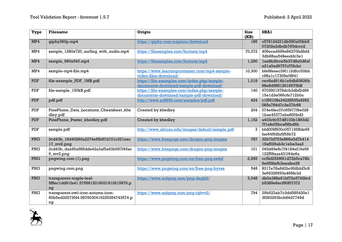| <b>Type</b> | <b>Filename</b>                                                                    | Origin                                                                                 | <b>Size</b><br>(KB) | <b>SHA1</b>                                  |
|-------------|------------------------------------------------------------------------------------|----------------------------------------------------------------------------------------|---------------------|----------------------------------------------|
| MP4         | giphy360p.mp4                                                                      | https://qiphy.com/explore/download                                                     | 185                 | c578124221db590a00bb5<br>07202e2dbdb765dccc2 |
| MP4         | sample_1280x720_surfing_with_audio.mp4                                             | https://filesamples.com/formats/mp4                                                    | 70,072              | 406ecad499e84370fa8bfd<br>3db88aa548eeddc3el |
| MP4         | sample_960x540.mp4                                                                 | https://filesamples.com/formats/mp4                                                    | 1,290               | lae8b2fcce5b37d8a0d6af<br>e21a0ed9757cf78cbc |
| MP4         | sample-mp4-file.mp4                                                                | https://www.learningcontainer.com/mp4-sample-<br>video-files-download/                 | 10,300              | bfe8feaec39f112dfcc53bb<br>c98alc17309e0f941 |
| PDF         | file-example_PDF_1MB.pdf                                                           | https://file-examples.com/index.php/sample-<br>documents-download/sample-pdf-download/ | 1,018               | cec8ad914ble9db83626b<br>98e8d98512616975fdf |
| PDF         | file-sample_150kB.pdf                                                              | https://file-examples.com/index.php/sample-<br>documents-download/sample-pdf-download/ | 140                 | 6703901978dcb3dbf2d99<br>15e1d3e066cfe712b0a |
| PDF         | pdf.pdf                                                                            | http://www.pdf995.com/samples/pdf.pdf                                                  | 424                 | c1f95108a34228535a9262<br>085e784d7c3e27fc68 |
| PDF         | PinePhone_Data_Locations_Cheatsheet_khe<br>dley.pdf                                | Created by khedley                                                                     | 204                 | 074e4fec07c65977f9e028<br>lbae45377ebe800bd3 |
| <b>PDF</b>  | PinePhone_Poster_khedley.pdf                                                       | Created by khedley                                                                     | 1,152               | a403c9c57dff103b1893d2<br>7f1efe05bcaf9fbd9b |
| PDF         | sample.pdf                                                                         | http://www.africau.edu/images/default/sample.pdf                                       | 3                   | bfd009f500c057195ffde66<br>fae64f92fa5f59b72 |
| PNG         | 2cd43b_16d40260a2274e6fb87d101c321eac<br>17_mv2.png                                | https://www.freepngs.com/dragon-png-images                                             | 787                 | 32b7bf753e866e0d7b414<br>19af529ab3clebe3aa3 |
| PNG         | 2cd43b daa95a985dde42a3af5a63b597f45ac<br>9_mv2.png                                | https://www.freepngs.com/dragon-png-images                                             | 101                 | 045d49e8c7f4184ef19a69<br>122f58aaa431f44e6a |
| <b>PNG</b>  | pngwing.com (1).png                                                                | https://www.pngwing.com/en/free-png-zwfuf                                              | 2,955               | cc5bf259f661d72b5ca78b<br>9e6f58efb3eeafee28 |
| PNG         | pngwing.com.png                                                                    | https://www.pnqwing.com/en/free-pnq-byvsx                                              | 548                 | 8317e78a842bc9fdbbf3c8<br>3e66326693a489fe3d |
| PNG         | transparent-maple-leaf-<br>5f8ec1dd91fa41.5756612016031912615979.p<br>nq           | https://www.subpng.com/png-daqbfi/                                                     | 3,048               | db0e388e61bf72e5742fed<br>b5389e6ecf90f07372 |
| PNG         | transparent-owl-icon-autumn-icon-<br>60b5ed32573f44.5876030416225354743574.p<br>ng | https://www.subpng.com/png-ighvv2/                                                     | 794                 | 29b523ab7c3dd585430el<br>3f383293bcb84d7749d |

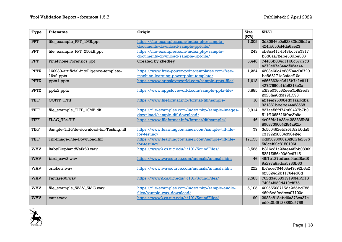| <b>Type</b> | <b>Filename</b>                            | Origin                                              | <b>Size</b><br>(KB) | <b>SHA1</b>             |
|-------------|--------------------------------------------|-----------------------------------------------------|---------------------|-------------------------|
| <b>PPT</b>  | file_example_PPT_1MB.ppt                   | https://file-examples.com/index.php/sample-         | 1,005               | 3d30846c0c62832fd05dlc  |
|             |                                            | documents-download/sample-ppt-file/                 |                     | 424fb650cf4da6ae23      |
| <b>PPT</b>  | file_example_PPT_250kB.ppt                 | https://file-examples.com/index.php/sample-         | 243                 | cb8ea4114148bc57e7317   |
|             |                                            | documents-download/sample-ppt-file/                 |                     | b3d0aa72ebe53dbe386     |
| <b>PPT</b>  | PinePhone Forensics.ppt                    | Created by khedley                                  | 5,446               | 74485b034cllb8c57d7c3   |
|             |                                            |                                                     |                     | a372e97a34adf02aa44     |
| <b>PPTX</b> | 160930-artificial-intelligence-template-   | https://www.free-power-point-templates.com/free-    | 1,224               | 4203a60c4b88f7aad96720  |
|             | $16x9.$ pptx                               | machine-learning-powerpoint-template/               |                     | be8d5171e2afacf10e      |
| <b>PPTX</b> | pptxl.pptx                                 | https://www.appsloveworld.com/sample-pptx-file/     | 1,618               | c666363ec2d45b7alc911   |
|             |                                            |                                                     |                     | 427f7690clbb6313c2a     |
| <b>PPTX</b> | pptx2.pptx                                 | https://www.appsloveworld.com/sample-pptx-file/     | 5,885               | c3f3e076c62eee7bf82ed3  |
|             |                                            |                                                     |                     | 2325faa0d5f79f1596      |
| <b>TIFF</b> | CCITT_1.TIF                                | https://www.fileformat.info/format/tiff/sample/     | 18                  | a2leef750984d9laaddba   |
|             |                                            |                                                     |                     | 931361bbebe44a23568     |
| <b>TIFF</b> | file_example_TIFF_10MB.tiff                | https://file-examples.com/index.php/sample-images-  | 9,914               | 837ae56fd74b69427b7b9   |
|             |                                            | download/sample-tiff-download/                      |                     | 511f1065616ffbc3b9e     |
| <b>TIFF</b> | FLAG T24.TIF                               | https://www.fileformat.info/format/tiff/sample/     | 46                  | 4c06fdc1b38c4283835b8f  |
|             |                                            |                                                     |                     | 89687390042f84a92b      |
| <b>TIFF</b> | Sample-Tiff-File-download-for-Testing.tiff | https://www.learningcontainer.com/sample-tiff-file- | 79                  | 3c560462efd9f4182b0da5  |
|             |                                            | for-testing/                                        |                     | c3192258384390424c      |
| <b>TIFF</b> | Tiff-Image-File-Download.tiff              | https://www.learningcontainer.com/sample-tiff-file- | 17,155              | dd85696006a32f8f7fa2575 |
|             |                                            | for-testing/                                        |                     | 5f8cef99c8150196f       |
| <b>WAV</b>  | BabyElephantWalk60.wav                     | https://www2.cs.uic.edu/~i101/SoundFiles/           | 2,585               | b816c31a23ae448bb0890f  |
|             |                                            |                                                     |                     | 5221f256a90d0e9745      |
| <b>WAV</b>  | bird_caw2.wav                              | https://www.wavsource.com/animals/animals.htm       | 46                  | 49f1e127edbcef4adf8ad8  |
|             |                                            |                                                     |                     | 9a297a8adca5735b63      |
| WAV         | crickets.wav                               | https://www.wavsource.com/animals/animals.htm       | 222                 | fb7ece704403a47692b6c2  |
|             |                                            |                                                     |                     | 625324d2b11764ed6d      |
| <b>WAV</b>  | Fanfare60.wav                              | https://www2.cs.uic.edu/~i101/SoundFiles/           | 2,585               | 762d3a658519190f4b5f13  |
|             |                                            |                                                     |                     | 74964f959d419cf875      |
| <b>WAV</b>  | file_example_WAV_5MG.wav                   | https://file-examples.com/index.php/sample-audio-   | 5,105               | 40955508715da2d5bd785   |
|             |                                            | files/sample-wav-download/                          |                     | 46fc8ed9edcca07100e     |
| <b>WAV</b>  | taunt.wav                                  | https://www2.cs.uic.edu/~i101/SoundFiles/           | 90                  | 2988a818ebd6a373ca37e   |
|             |                                            |                                                     |                     | cd0a0bf9123880c5758     |

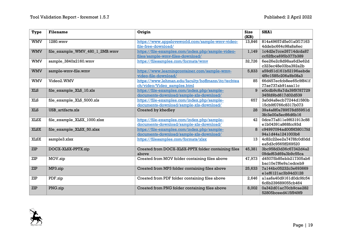| <b>Type</b> | <b>Filename</b>                | Origin                                              | <b>Size</b><br>(KB) | <b>SHA1</b>             |
|-------------|--------------------------------|-----------------------------------------------------|---------------------|-------------------------|
| <b>WMV</b>  | 1280.wmv                       | https://www.appsloveworld.com/sample-wmv-video-     | 13,846              | 814a49657d5e01a0f17163  |
|             |                                | file-free-download/                                 |                     | 4ddebc664c98a8a6ec      |
| <b>WMV</b>  | file_example_WMV_480_1_2MB.wmv | https://file-examples.com/index.php/sample-video-   | 1,149               | lc4d2e7cce26714dcda87   |
|             |                                | files/sample-wmv-files-download/                    |                     | cc52fbca695b377b389     |
| <b>WMV</b>  | sample_3840x2160.wmv           | https://filesamples.com/formats/wmv                 | 32,726              | 6ee26e2c8d98aa6d3e62d   |
|             |                                |                                                     |                     | c323ec48e03ba392a2b     |
| <b>WMV</b>  | sample-wmv-file.wmv            | https://www.learningcontainer.com/sample-wmv-       | 5,833               | a59d51d161b52196aebde   |
|             |                                | video-file-download/                                |                     | 4f9c1585c206a9b08a3     |
| <b>WMV</b>  | Video2.WMV                     | https://www.lehman.edu/faculty/hoffmann/itc/techtea | 85                  | 66d457ecfcb8ee65c9f841f |
|             |                                | ch/video/Video samples.html                         |                     | 77ae737ab9laaallc       |
| <b>XLS</b>  | file_example_XLS_10.xls        | https://file-examples.com/index.php/sample-         |                     | e0cdb9c8a7da39f9787729  |
|             |                                | documents-download/sample-xls-download/             |                     | 345fd9bd617d02d539      |
| <b>XLS</b>  | file_example_XLS_5000.xls      | https://file-examples.com/index.php/sample-         | 657                 | 3a0d4a8ecb77244d1580b   |
|             |                                | documents-download/sample-xls-download/             |                     | 15cb9f0766c8317b073     |
| <b>XLS</b>  | USB artifacts.xls              | Created by khedley                                  | 28                  | 39a4a8f0a789578d55951d  |
|             |                                |                                                     |                     | 3fc3e00a5ec86d6b16      |
| <b>XLSX</b> | file_example_XLSX_1000.xlsx    | https://file-examples.com/index.php/sample-         | 42                  | 0dce77a811e9f631913c88  |
|             |                                | documents-download/sample-xls-download/             |                     | elb04391a868fcc93d      |
| <b>XLSX</b> | file_example_XLSX_50.xlsx      | https://file-examples.com/index.php/sample-         | 8                   | c94997094ad00f9f38017fd |
|             |                                | documents-download/sample-xls-download/             |                     | 94a1d44a1241003b6       |
| <b>XLSX</b> | sample3.xlsx                   | https://filesamples.com/formats/xlsx                | 13                  | 4c82c22ee2a7478fc0d0dd  |
|             |                                |                                                     |                     | ea5d3c9565ff269520      |
| ZIP         | DOCX-XLSX-PPTX.zip             | Created from DOCX-XLSX-PPTX folder containing files | 45,381              | 3bc958d3d36c67342d4a2   |
|             |                                | above                                               |                     | 09def63d69a3b9c55ca     |
| ZIP         | MOV.zip                        | Created from MOV folder containing files above      | 47,973              | d45075b85ebb217305ab6   |
|             |                                |                                                     |                     | bac10e7f6e9aledceb9     |
| ZIP         | MP3.zip                        | Created from MP3 folder containing files above      | 25,633              | 7a144bc05232c3e693669   |
|             |                                |                                                     |                     | elef6121ac3b94d3128     |
| ZIP         | PDF.zip                        | Created from PDF folder containing files above      | 2,646               | alaa6a40d9161d0dc9fc54  |
|             |                                |                                                     |                     | 6c8b239689055cb464      |
| ZIP         | PNG.zip                        | Created from PNG folder containing files above      | 8,002               | 0a342d01ac70cb9cae282   |
|             |                                |                                                     |                     | 52805bceed415f949f9     |